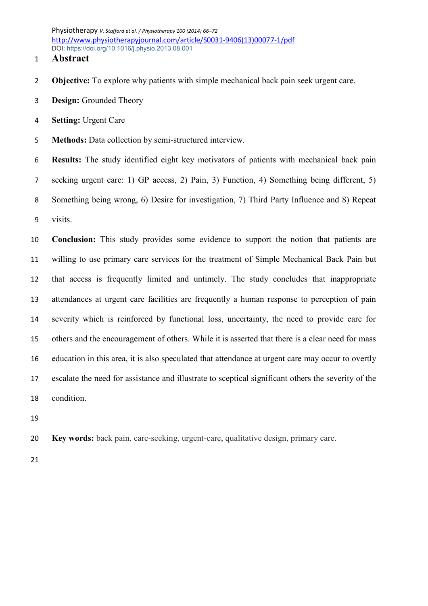Physiotherapy *V. Stafford et al. / Physiotherapy 100 (2014) 66–72* [http://www.physiotherapyjournal.com/article/S0031-9406\(13\)00077-1/pdf](http://www.physiotherapyjournal.com/article/S0031-9406(13)00077-1/pdf) DOI: <https://doi.org/10.1016/j.physio.2013.08.001>

# **Abstract**

- **Objective:** To explore why patients with simple mechanical back pain seek urgent care.
- **Design:** Grounded Theory
- **Setting:** Urgent Care
- **Methods:** Data collection by semi-structured interview.

 **Results:** The study identified eight key motivators of patients with mechanical back pain seeking urgent care: 1) GP access, 2) Pain, 3) Function, 4) Something being different, 5) Something being wrong, 6) Desire for investigation, 7) Third Party Influence and 8) Repeat visits.

 **Conclusion:** This study provides some evidence to support the notion that patients are willing to use primary care services for the treatment of Simple Mechanical Back Pain but that access is frequently limited and untimely. The study concludes that inappropriate attendances at urgent care facilities are frequently a human response to perception of pain severity which is reinforced by functional loss, uncertainty, the need to provide care for others and the encouragement of others. While it is asserted that there is a clear need for mass education in this area, it is also speculated that attendance at urgent care may occur to overtly escalate the need for assistance and illustrate to sceptical significant others the severity of the condition.

- 
- **Key words:** back pain, care-seeking, urgent-care, qualitative design, primary care.
-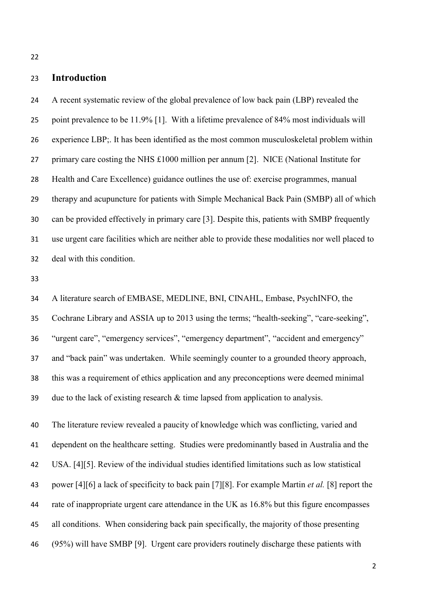# **Introduction**

 A recent systematic review of the global prevalence of low back pain (LBP) revealed the point prevalence to be 11.9% [1]. With a lifetime prevalence of 84% most individuals will experience LBP;. It has been identified as the most common musculoskeletal problem within primary care costing the NHS £1000 million per annum [2]. NICE (National Institute for Health and Care Excellence) guidance outlines the use of: exercise programmes, manual therapy and acupuncture for patients with Simple Mechanical Back Pain (SMBP) all of which can be provided effectively in primary care [3]. Despite this, patients with SMBP frequently use urgent care facilities which are neither able to provide these modalities nor well placed to deal with this condition.

 A literature search of EMBASE, MEDLINE, BNI, CINAHL, Embase, PsychINFO, the Cochrane Library and ASSIA up to 2013 using the terms; "health-seeking", "care-seeking", "urgent care", "emergency services", "emergency department", "accident and emergency" and "back pain" was undertaken. While seemingly counter to a grounded theory approach, this was a requirement of ethics application and any preconceptions were deemed minimal due to the lack of existing research & time lapsed from application to analysis.

 The literature review revealed a paucity of knowledge which was conflicting, varied and dependent on the healthcare setting. Studies were predominantly based in Australia and the USA. [4][5]. Review of the individual studies identified limitations such as low statistical power [4][6] a lack of specificity to back pain [7][8]. For example Martin *et al.* [8] report the 44 rate of inappropriate urgent care attendance in the UK as 16.8% but this figure encompasses all conditions. When considering back pain specifically, the majority of those presenting (95%) will have SMBP [9]. Urgent care providers routinely discharge these patients with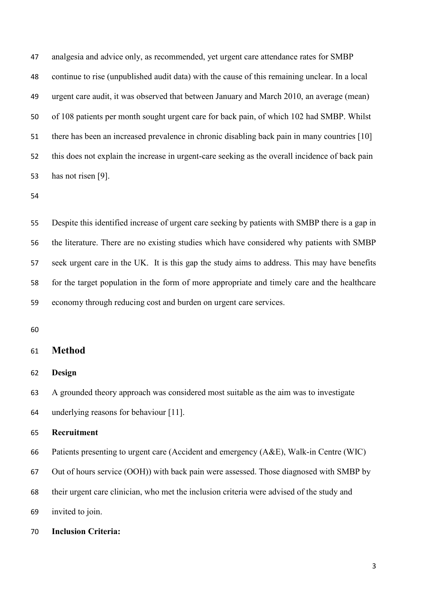analgesia and advice only, as recommended, yet urgent care attendance rates for SMBP continue to rise (unpublished audit data) with the cause of this remaining unclear. In a local urgent care audit, it was observed that between January and March 2010, an average (mean) of 108 patients per month sought urgent care for back pain, of which 102 had SMBP. Whilst there has been an increased prevalence in chronic disabling back pain in many countries [10] this does not explain the increase in urgent-care seeking as the overall incidence of back pain has not risen [9].

 Despite this identified increase of urgent care seeking by patients with SMBP there is a gap in the literature. There are no existing studies which have considered why patients with SMBP seek urgent care in the UK. It is this gap the study aims to address. This may have benefits for the target population in the form of more appropriate and timely care and the healthcare economy through reducing cost and burden on urgent care services.

# **Method**

**Design**

A grounded theory approach was considered most suitable as the aim was to investigate

underlying reasons for behaviour [11].

#### **Recruitment**

Patients presenting to urgent care (Accident and emergency (A&E), Walk-in Centre (WIC)

Out of hours service (OOH)) with back pain were assessed. Those diagnosed with SMBP by

their urgent care clinician, who met the inclusion criteria were advised of the study and

invited to join.

**Inclusion Criteria:**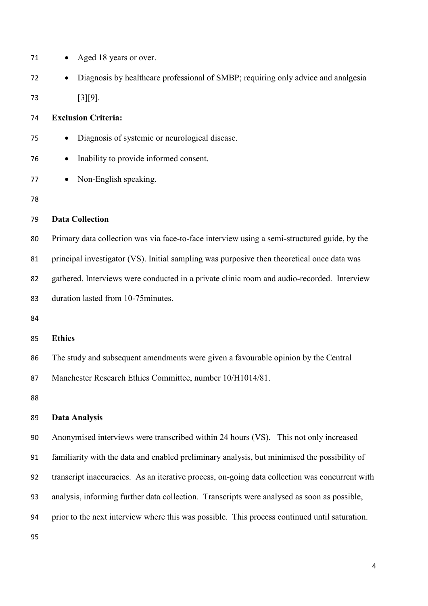| 71 | Aged 18 years or over.                                                                         |
|----|------------------------------------------------------------------------------------------------|
| 72 | Diagnosis by healthcare professional of SMBP; requiring only advice and analgesia<br>$\bullet$ |
| 73 | $[3][9]$ .                                                                                     |
| 74 | <b>Exclusion Criteria:</b>                                                                     |
| 75 | Diagnosis of systemic or neurological disease.                                                 |
| 76 | Inability to provide informed consent.                                                         |
| 77 | Non-English speaking.                                                                          |
| 78 |                                                                                                |
| 79 | <b>Data Collection</b>                                                                         |
| 80 | Primary data collection was via face-to-face interview using a semi-structured guide, by the   |
| 81 | principal investigator (VS). Initial sampling was purposive then theoretical once data was     |
| 82 | gathered. Interviews were conducted in a private clinic room and audio-recorded. Interview     |
| 83 | duration lasted from 10-75 minutes.                                                            |
| 84 |                                                                                                |
| 85 | <b>Ethics</b>                                                                                  |
| 86 | The study and subsequent amendments were given a favourable opinion by the Central             |
| 87 | Manchester Research Ethics Committee, number 10/H1014/81.                                      |
| 88 |                                                                                                |
| 89 | <b>Data Analysis</b>                                                                           |
| 90 | Anonymised interviews were transcribed within 24 hours (VS). This not only increased           |
| 91 | familiarity with the data and enabled preliminary analysis, but minimised the possibility of   |
| 92 | transcript inaccuracies. As an iterative process, on-going data collection was concurrent with |
| 93 | analysis, informing further data collection. Transcripts were analysed as soon as possible,    |
| 94 | prior to the next interview where this was possible. This process continued until saturation.  |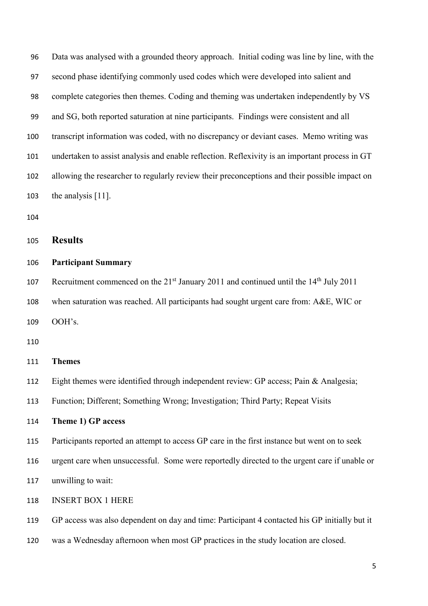Data was analysed with a grounded theory approach. Initial coding was line by line, with the second phase identifying commonly used codes which were developed into salient and complete categories then themes. Coding and theming was undertaken independently by VS and SG, both reported saturation at nine participants. Findings were consistent and all transcript information was coded, with no discrepancy or deviant cases. Memo writing was undertaken to assist analysis and enable reflection. Reflexivity is an important process in GT allowing the researcher to regularly review their preconceptions and their possible impact on the analysis [11].

### **Results**

#### **Participant Summary**

107 Recruitment commenced on the  $21^{st}$  January 2011 and continued until the  $14^{th}$  July 2011 when saturation was reached. All participants had sought urgent care from: A&E, WIC or OOH's.

#### **Themes**

Eight themes were identified through independent review: GP access; Pain & Analgesia;

Function; Different; Something Wrong; Investigation; Third Party; Repeat Visits

# **Theme 1) GP access**

Participants reported an attempt to access GP care in the first instance but went on to seek

urgent care when unsuccessful. Some were reportedly directed to the urgent care if unable or

unwilling to wait:

INSERT BOX 1 HERE

GP access was also dependent on day and time: Participant 4 contacted his GP initially but it

was a Wednesday afternoon when most GP practices in the study location are closed.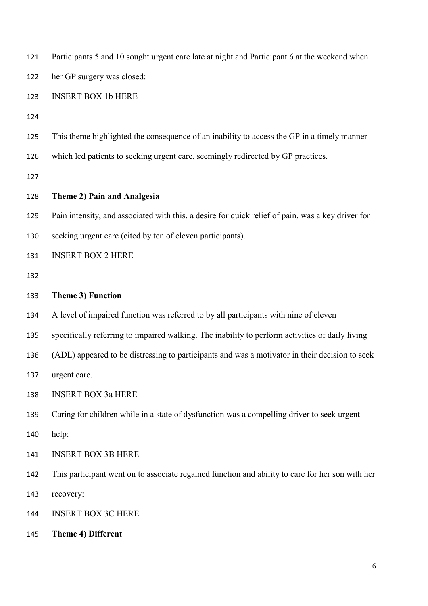| 121 | Participants 5 and 10 sought urgent care late at night and Participant 6 at the weekend when      |
|-----|---------------------------------------------------------------------------------------------------|
| 122 | her GP surgery was closed:                                                                        |
| 123 | <b>INSERT BOX 1b HERE</b>                                                                         |
| 124 |                                                                                                   |
| 125 | This theme highlighted the consequence of an inability to access the GP in a timely manner        |
| 126 | which led patients to seeking urgent care, seemingly redirected by GP practices.                  |
| 127 |                                                                                                   |
| 128 | Theme 2) Pain and Analgesia                                                                       |
| 129 | Pain intensity, and associated with this, a desire for quick relief of pain, was a key driver for |
| 130 | seeking urgent care (cited by ten of eleven participants).                                        |
| 131 | <b>INSERT BOX 2 HERE</b>                                                                          |
| 132 |                                                                                                   |
| 133 | Theme 3) Function                                                                                 |
| 134 | A level of impaired function was referred to by all participants with nine of eleven              |
| 135 | specifically referring to impaired walking. The inability to perform activities of daily living   |
| 136 | (ADL) appeared to be distressing to participants and was a motivator in their decision to seek    |
| 137 | urgent care.                                                                                      |
| 138 | <b>INSERT BOX 3a HERE</b>                                                                         |
| 139 | Caring for children while in a state of dysfunction was a compelling driver to seek urgent        |
| 140 | help:                                                                                             |
| 141 | <b>INSERT BOX 3B HERE</b>                                                                         |
| 142 | This participant went on to associate regained function and ability to care for her son with her  |
| 143 | recovery:                                                                                         |
| 144 | <b>INSERT BOX 3C HERE</b>                                                                         |
| 145 | Theme 4) Different                                                                                |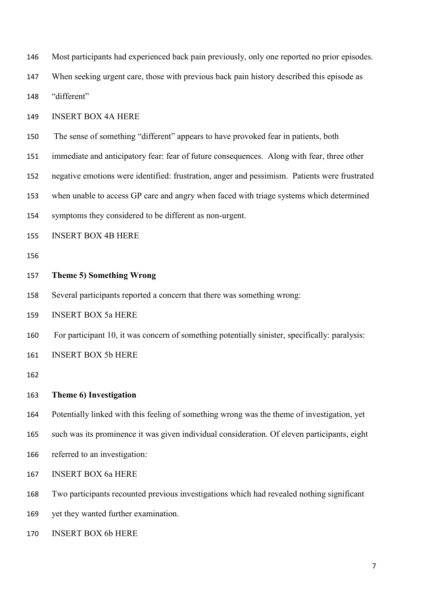Most participants had experienced back pain previously, only one reported no prior episodes.

When seeking urgent care, those with previous back pain history described this episode as

"different"

INSERT BOX 4A HERE

The sense of something "different" appears to have provoked fear in patients, both

immediate and anticipatory fear: fear of future consequences. Along with fear, three other

negative emotions were identified: frustration, anger and pessimism. Patients were frustrated

when unable to access GP care and angry when faced with triage systems which determined

symptoms they considered to be different as non-urgent.

INSERT BOX 4B HERE

# **Theme 5) Something Wrong**

Several participants reported a concern that there was something wrong:

INSERT BOX 5a HERE

For participant 10, it was concern of something potentially sinister, specifically: paralysis:

INSERT BOX 5b HERE

# **Theme 6) Investigation**

Potentially linked with this feeling of something wrong was the theme of investigation, yet

such was its prominence it was given individual consideration. Of eleven participants, eight

referred to an investigation:

INSERT BOX 6a HERE

Two participants recounted previous investigations which had revealed nothing significant

yet they wanted further examination.

INSERT BOX 6b HERE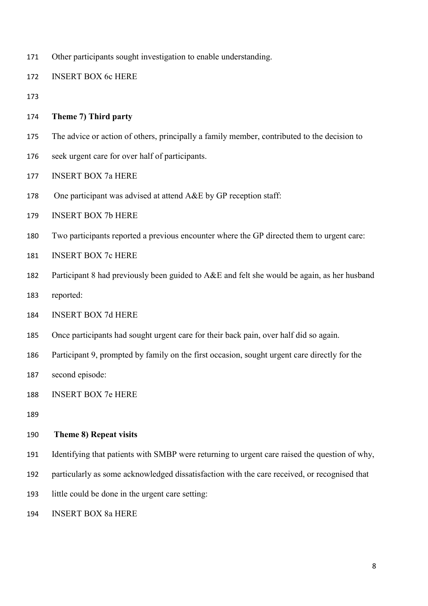Other participants sought investigation to enable understanding.

INSERT BOX 6c HERE

- 
- **Theme 7) Third party**
- The advice or action of others, principally a family member, contributed to the decision to
- seek urgent care for over half of participants.
- INSERT BOX 7a HERE
- 178 One participant was advised at attend A&E by GP reception staff:
- INSERT BOX 7b HERE
- Two participants reported a previous encounter where the GP directed them to urgent care:
- INSERT BOX 7c HERE
- Participant 8 had previously been guided to A&E and felt she would be again, as her husband
- reported:
- INSERT BOX 7d HERE
- Once participants had sought urgent care for their back pain, over half did so again.
- Participant 9, prompted by family on the first occasion, sought urgent care directly for the
- second episode:
- INSERT BOX 7e HERE
- 

#### **Theme 8) Repeat visits**

- Identifying that patients with SMBP were returning to urgent care raised the question of why,
- particularly as some acknowledged dissatisfaction with the care received, or recognised that
- little could be done in the urgent care setting:
- INSERT BOX 8a HERE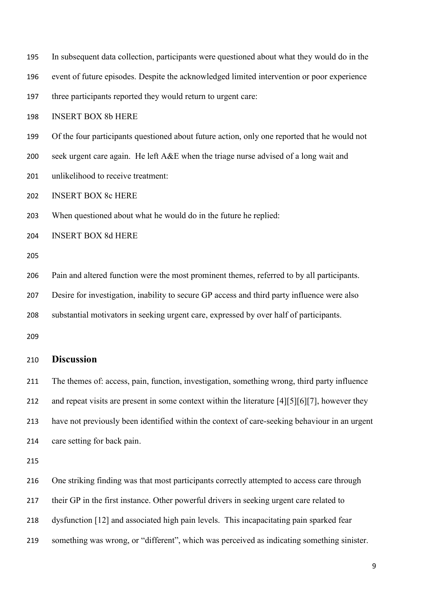| 195 | In subsequent data collection, participants were questioned about what they would do in the    |
|-----|------------------------------------------------------------------------------------------------|
| 196 | event of future episodes. Despite the acknowledged limited intervention or poor experience     |
| 197 | three participants reported they would return to urgent care:                                  |
| 198 | <b>INSERT BOX 8b HERE</b>                                                                      |
| 199 | Of the four participants questioned about future action, only one reported that he would not   |
| 200 | seek urgent care again. He left A&E when the triage nurse advised of a long wait and           |
| 201 | unlikelihood to receive treatment:                                                             |
| 202 | <b>INSERT BOX 8c HERE</b>                                                                      |
| 203 | When questioned about what he would do in the future he replied:                               |
| 204 | <b>INSERT BOX 8d HERE</b>                                                                      |
| 205 |                                                                                                |
| 206 | Pain and altered function were the most prominent themes, referred to by all participants.     |
| 207 | Desire for investigation, inability to secure GP access and third party influence were also    |
| 208 | substantial motivators in seeking urgent care, expressed by over half of participants.         |
| 209 |                                                                                                |
| 210 | <b>Discussion</b>                                                                              |
| 211 | The themes of: access, pain, function, investigation, something wrong, third party influence   |
| 212 | and repeat visits are present in some context within the literature [4][5][6][7], however they |
| 213 | have not previously been identified within the context of care-seeking behaviour in an urgent  |
| 214 | care setting for back pain.                                                                    |

216 One striking finding was that most participants correctly attempted to access care through

their GP in the first instance. Other powerful drivers in seeking urgent care related to

dysfunction [12] and associated high pain levels. This incapacitating pain sparked fear

something was wrong, or "different", which was perceived as indicating something sinister.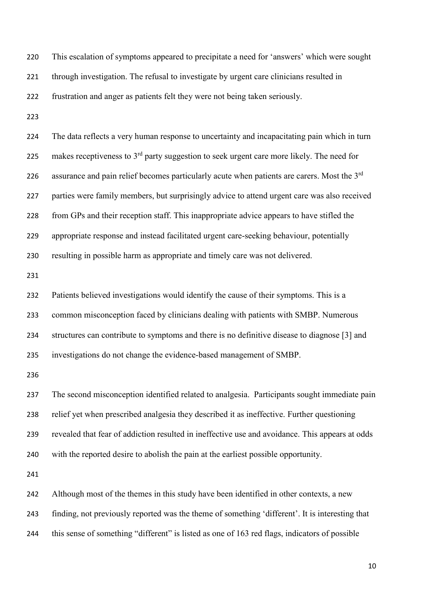This escalation of symptoms appeared to precipitate a need for 'answers' which were sought 221 through investigation. The refusal to investigate by urgent care clinicians resulted in frustration and anger as patients felt they were not being taken seriously. The data reflects a very human response to uncertainty and incapacitating pain which in turn 225 makes receptiveness to  $3<sup>rd</sup>$  party suggestion to seek urgent care more likely. The need for 226 assurance and pain relief becomes particularly acute when patients are carers. Most the 3<sup>rd</sup> parties were family members, but surprisingly advice to attend urgent care was also received from GPs and their reception staff. This inappropriate advice appears to have stifled the appropriate response and instead facilitated urgent care-seeking behaviour, potentially resulting in possible harm as appropriate and timely care was not delivered. Patients believed investigations would identify the cause of their symptoms. This is a common misconception faced by clinicians dealing with patients with SMBP. Numerous structures can contribute to symptoms and there is no definitive disease to diagnose [3] and investigations do not change the evidence-based management of SMBP. The second misconception identified related to analgesia. Participants sought immediate pain relief yet when prescribed analgesia they described it as ineffective. Further questioning revealed that fear of addiction resulted in ineffective use and avoidance. This appears at odds with the reported desire to abolish the pain at the earliest possible opportunity. Although most of the themes in this study have been identified in other contexts, a new finding, not previously reported was the theme of something 'different'. It is interesting that this sense of something "different" is listed as one of 163 red flags, indicators of possible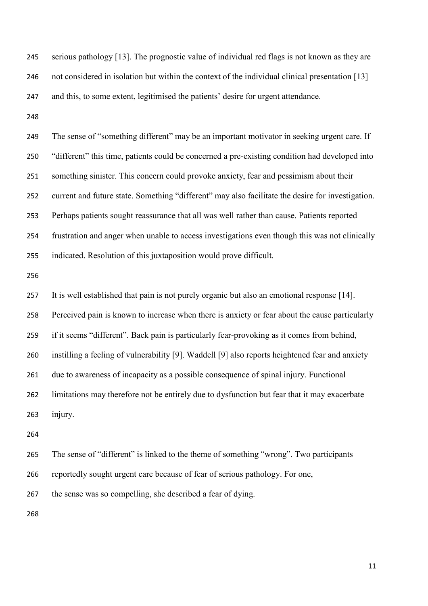serious pathology [13]. The prognostic value of individual red flags is not known as they are not considered in isolation but within the context of the individual clinical presentation [13] and this, to some extent, legitimised the patients' desire for urgent attendance.

 The sense of "something different" may be an important motivator in seeking urgent care. If "different" this time, patients could be concerned a pre-existing condition had developed into something sinister. This concern could provoke anxiety, fear and pessimism about their current and future state. Something "different" may also facilitate the desire for investigation. Perhaps patients sought reassurance that all was well rather than cause. Patients reported frustration and anger when unable to access investigations even though this was not clinically indicated. Resolution of this juxtaposition would prove difficult.

 It is well established that pain is not purely organic but also an emotional response [14]. Perceived pain is known to increase when there is anxiety or fear about the cause particularly if it seems "different". Back pain is particularly fear-provoking as it comes from behind, instilling a feeling of vulnerability [9]. Waddell [9] also reports heightened fear and anxiety due to awareness of incapacity as a possible consequence of spinal injury. Functional limitations may therefore not be entirely due to dysfunction but fear that it may exacerbate injury.

The sense of "different" is linked to the theme of something "wrong". Two participants

reportedly sought urgent care because of fear of serious pathology. For one,

the sense was so compelling, she described a fear of dying.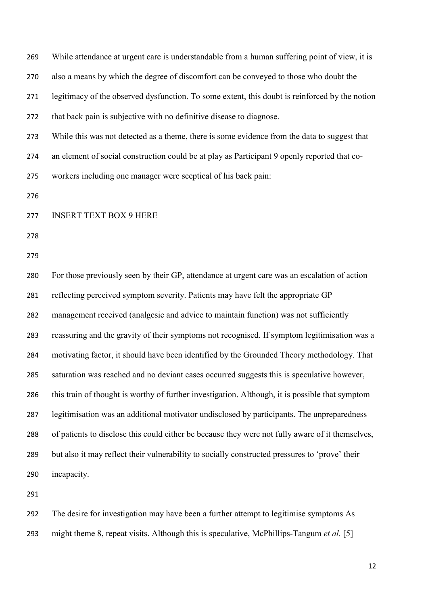| 269 | While attendance at urgent care is understandable from a human suffering point of view, it is    |
|-----|--------------------------------------------------------------------------------------------------|
| 270 | also a means by which the degree of discomfort can be conveyed to those who doubt the            |
| 271 | legitimacy of the observed dysfunction. To some extent, this doubt is reinforced by the notion   |
| 272 | that back pain is subjective with no definitive disease to diagnose.                             |
| 273 | While this was not detected as a theme, there is some evidence from the data to suggest that     |
| 274 | an element of social construction could be at play as Participant 9 openly reported that co-     |
| 275 | workers including one manager were sceptical of his back pain:                                   |
| 276 |                                                                                                  |
| 277 | <b>INSERT TEXT BOX 9 HERE</b>                                                                    |
| 278 |                                                                                                  |
| 279 |                                                                                                  |
| 280 | For those previously seen by their GP, attendance at urgent care was an escalation of action     |
| 281 | reflecting perceived symptom severity. Patients may have felt the appropriate GP                 |
| 282 | management received (analgesic and advice to maintain function) was not sufficiently             |
| 283 | reassuring and the gravity of their symptoms not recognised. If symptom legitimisation was a     |
| 284 | motivating factor, it should have been identified by the Grounded Theory methodology. That       |
| 285 | saturation was reached and no deviant cases occurred suggests this is speculative however,       |
| 286 | this train of thought is worthy of further investigation. Although, it is possible that symptom  |
| 287 | legitimisation was an additional motivator undisclosed by participants. The unpreparedness       |
| 288 | of patients to disclose this could either be because they were not fully aware of it themselves, |
| 289 | but also it may reflect their vulnerability to socially constructed pressures to 'prove' their   |
| 290 | incapacity.                                                                                      |
| 291 |                                                                                                  |
|     |                                                                                                  |

 The desire for investigation may have been a further attempt to legitimise symptoms As might theme 8, repeat visits. Although this is speculative, McPhillips-Tangum *et al.* [5]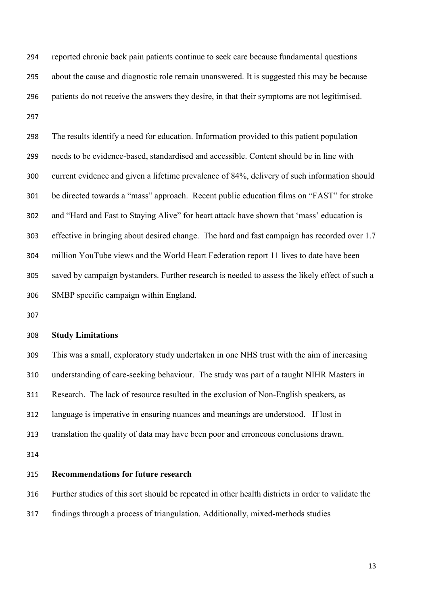reported chronic back pain patients continue to seek care because fundamental questions about the cause and diagnostic role remain unanswered. It is suggested this may be because patients do not receive the answers they desire, in that their symptoms are not legitimised. 

 The results identify a need for education. Information provided to this patient population needs to be evidence-based, standardised and accessible. Content should be in line with current evidence and given a lifetime prevalence of 84%, delivery of such information should be directed towards a "mass" approach. Recent public education films on "FAST" for stroke and "Hard and Fast to Staying Alive" for heart attack have shown that 'mass' education is effective in bringing about desired change. The hard and fast campaign has recorded over 1.7 million YouTube views and the World Heart Federation report 11 lives to date have been saved by campaign bystanders. Further research is needed to assess the likely effect of such a SMBP specific campaign within England.

#### **Study Limitations**

 This was a small, exploratory study undertaken in one NHS trust with the aim of increasing understanding of care-seeking behaviour. The study was part of a taught NIHR Masters in Research. The lack of resource resulted in the exclusion of Non-English speakers, as language is imperative in ensuring nuances and meanings are understood. If lost in translation the quality of data may have been poor and erroneous conclusions drawn.

### **Recommendations for future research**

 Further studies of this sort should be repeated in other health districts in order to validate the findings through a process of triangulation. Additionally, mixed-methods studies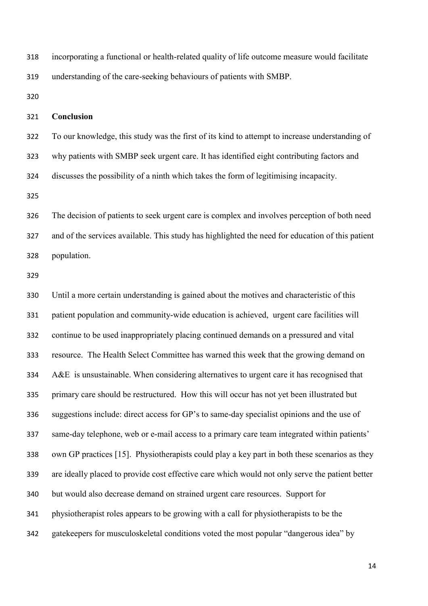incorporating a functional or health-related quality of life outcome measure would facilitate understanding of the care-seeking behaviours of patients with SMBP.

# **Conclusion**

 To our knowledge, this study was the first of its kind to attempt to increase understanding of why patients with SMBP seek urgent care. It has identified eight contributing factors and discusses the possibility of a ninth which takes the form of legitimising incapacity.

 The decision of patients to seek urgent care is complex and involves perception of both need and of the services available. This study has highlighted the need for education of this patient population.

 Until a more certain understanding is gained about the motives and characteristic of this patient population and community-wide education is achieved, urgent care facilities will continue to be used inappropriately placing continued demands on a pressured and vital resource. The Health Select Committee has warned this week that the growing demand on A&E is unsustainable. When considering alternatives to urgent care it has recognised that primary care should be restructured. How this will occur has not yet been illustrated but suggestions include: direct access for GP's to same-day specialist opinions and the use of same-day telephone, web or e-mail access to a primary care team integrated within patients' own GP practices [15]. Physiotherapists could play a key part in both these scenarios as they are ideally placed to provide cost effective care which would not only serve the patient better but would also decrease demand on strained urgent care resources. Support for physiotherapist roles appears to be growing with a call for physiotherapists to be the gatekeepers for musculoskeletal conditions voted the most popular "dangerous idea" by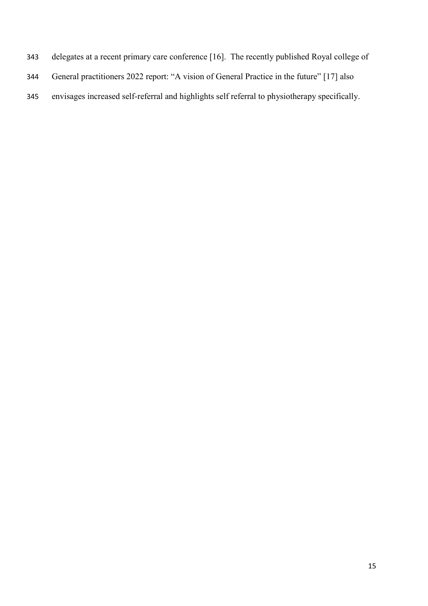- delegates at a recent primary care conference [16]. The recently published Royal college of
- General practitioners 2022 report: "A vision of General Practice in the future" [17] also
- envisages increased self-referral and highlights self referral to physiotherapy specifically.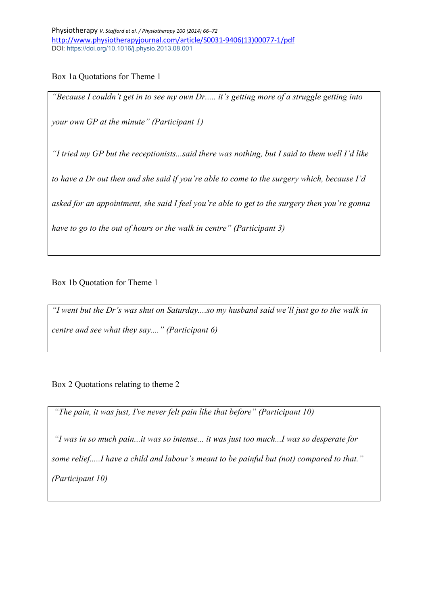Box 1a Quotations for Theme 1

*"Because I couldn't get in to see my own Dr..... it's getting more of a struggle getting into your own GP at the minute" (Participant 1)*

*"I tried my GP but the receptionists...said there was nothing, but I said to them well I'd like* 

*to have a Dr out then and she said if you're able to come to the surgery which, because I'd* 

*asked for an appointment, she said I feel you're able to get to the surgery then you're gonna* 

*have to go to the out of hours or the walk in centre" (Participant 3)*

Box 1b Quotation for Theme 1

*"I went but the Dr's was shut on Saturday....so my husband said we'll just go to the walk in centre and see what they say...." (Participant 6)*

Box 2 Quotations relating to theme 2

*"The pain, it was just, I've never felt pain like that before" (Participant 10)*

*"I was in so much pain...it was so intense... it was just too much...I was so desperate for some relief.....I have a child and labour's meant to be painful but (not) compared to that." (Participant 10)*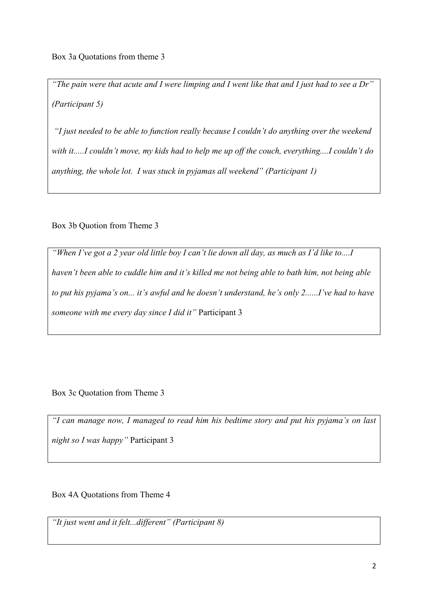*"The pain were that acute and I were limping and I went like that and I just had to see a Dr" (Participant 5)*

*"I just needed to be able to function really because I couldn't do anything over the weekend with it.....I couldn't move, my kids had to help me up off the couch, everything....I couldn't do anything, the whole lot. I was stuck in pyjamas all weekend" (Participant 1)*

Box 3b Quotion from Theme 3

*"When I've got a 2 year old little boy I can't lie down all day, as much as I'd like to....I haven't been able to cuddle him and it's killed me not being able to bath him, not being able to put his pyjama's on... it's awful and he doesn't understand, he's only 2......I've had to have someone with me every day since I did it"* Participant 3

Box 3c Quotation from Theme 3

*"I can manage now, I managed to read him his bedtime story and put his pyjama's on last night so I was happy"* Participant 3

Box 4A Quotations from Theme 4

*"It just went and it felt...different" (Participant 8)*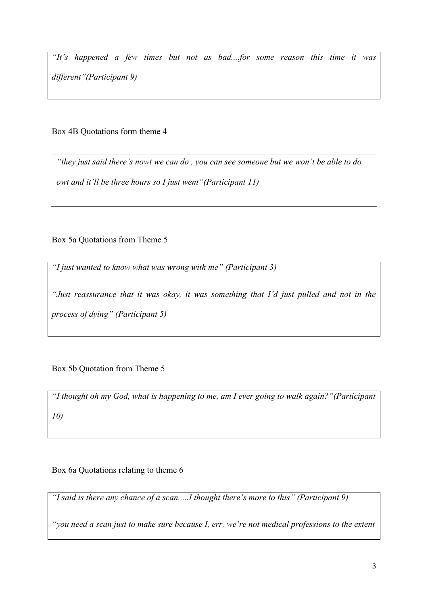*"It's happened a few times but not as bad....for some reason this time it was different"(Participant 9)*

Box 4B Quotations form theme 4

*"they just said there's nowt we can do , you can see someone but we won't be able to do owt and it'll be three hours so I just went"(Participant 11)*

Box 5a Quotations from Theme 5

*"I just wanted to know what was wrong with me" (Participant 3)*

*"Just reassurance that it was okay, it was something that I'd just pulled and not in the process of dying" (Participant 5)*

Box 5b Quotation from Theme 5

*"I thought oh my God, what is happening to me, am I ever going to walk again?"(Participant 10)*

Box 6a Quotations relating to theme 6

*"I said is there any chance of a scan.....I thought there's more to this" (Participant 9)*

*"you need a scan just to make sure because I, err, we're not medical professions to the extent*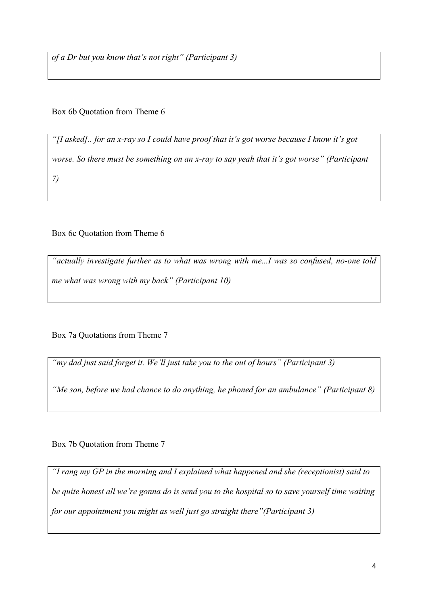*of a Dr but you know that's not right" (Participant 3)*

Box 6b Quotation from Theme 6

*"[I asked].. for an x-ray so I could have proof that it's got worse because I know it's got worse. So there must be something on an x-ray to say yeah that it's got worse" (Participant 7)*

Box 6c Quotation from Theme 6

*"actually investigate further as to what was wrong with me...I was so confused, no-one told me what was wrong with my back" (Participant 10)* 

Box 7a Quotations from Theme 7

*"my dad just said forget it. We'll just take you to the out of hours" (Participant 3)*

*"Me son, before we had chance to do anything, he phoned for an ambulance" (Participant 8)*

Box 7b Quotation from Theme 7

*"I rang my GP in the morning and I explained what happened and she (receptionist) said to be quite honest all we're gonna do is send you to the hospital so to save yourself time waiting for our appointment you might as well just go straight there"(Participant 3)*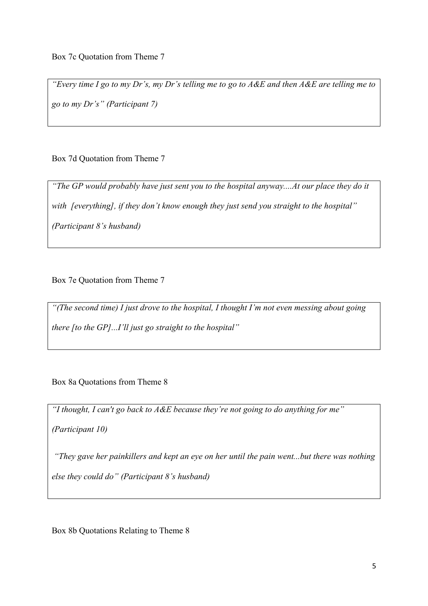*"Every time I go to my Dr's, my Dr's telling me to go to A&E and then A&E are telling me to go to my Dr's" (Participant 7)*

Box 7d Quotation from Theme 7

*"The GP would probably have just sent you to the hospital anyway....At our place they do it with [everything], if they don't know enough they just send you straight to the hospital" (Participant 8's husband)*

Box 7e Quotation from Theme 7

*"(The second time) I just drove to the hospital, I thought I'm not even messing about going there [to the GP]...I'll just go straight to the hospital"*

Box 8a Quotations from Theme 8

*"I thought, I can't go back to A&E because they're not going to do anything for me"* 

*(Participant 10)*

*"They gave her painkillers and kept an eye on her until the pain went...but there was nothing else they could do" (Participant 8's husband)*

Box 8b Quotations Relating to Theme 8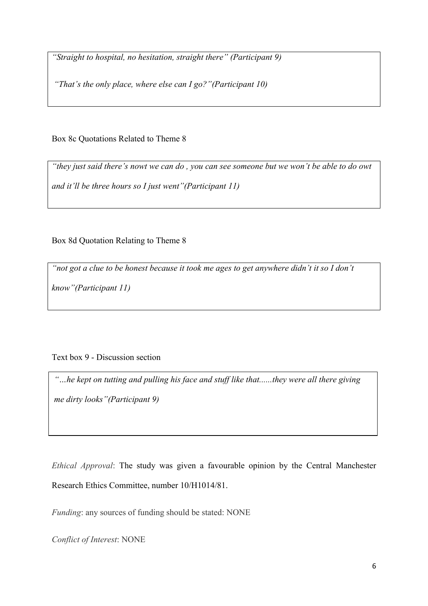*"Straight to hospital, no hesitation, straight there" (Participant 9)*

*"That's the only place, where else can I go?"(Participant 10)*

Box 8c Quotations Related to Theme 8

*"they just said there's nowt we can do , you can see someone but we won't be able to do owt and it'll be three hours so I just went"(Participant 11)*

Box 8d Quotation Relating to Theme 8

*"not got a clue to be honest because it took me ages to get anywhere didn't it so I don't* 

*know"(Participant 11)*

# Text box 9 - Discussion section

*"…he kept on tutting and pulling his face and stuff like that......they were all there giving me dirty looks"(Participant 9)*

*Ethical Approval*: The study was given a favourable opinion by the Central Manchester Research Ethics Committee, number 10/H1014/81.

*Funding*: any sources of funding should be stated: NONE

*Conflict of Interest*: NONE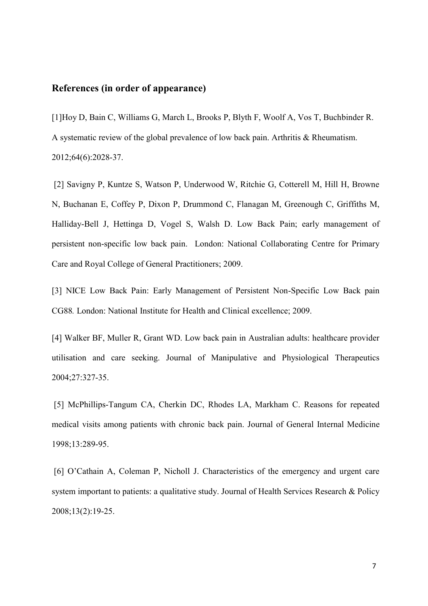## **References (in order of appearance)**

[1]Hoy D, Bain C, Williams G, March L, Brooks P, Blyth F, Woolf A, Vos T, Buchbinder R. A systematic review of the global prevalence of low back pain. Arthritis & Rheumatism. 2012;64(6):2028-37.

[2] Savigny P, Kuntze S, Watson P, Underwood W, Ritchie G, Cotterell M, Hill H, Browne N, Buchanan E, Coffey P, Dixon P, Drummond C, Flanagan M, Greenough C, Griffiths M, Halliday-Bell J, Hettinga D, Vogel S, Walsh D. Low Back Pain; early management of persistent non-specific low back pain. London: National Collaborating Centre for Primary Care and Royal College of General Practitioners; 2009.

[3] NICE Low Back Pain: Early Management of Persistent Non-Specific Low Back pain CG88*.* London: National Institute for Health and Clinical excellence; 2009.

[4] Walker BF, Muller R, Grant WD. Low back pain in Australian adults: healthcare provider utilisation and care seeking. Journal of Manipulative and Physiological Therapeutics 2004;27:327-35.

[5] McPhillips-Tangum CA, Cherkin DC, Rhodes LA, Markham C. Reasons for repeated medical visits among patients with chronic back pain. Journal of General Internal Medicine 1998;13:289-95.

[6] O'Cathain A, Coleman P, Nicholl J. Characteristics of the emergency and urgent care system important to patients: a qualitative study. Journal of Health Services Research & Policy 2008;13(2):19-25.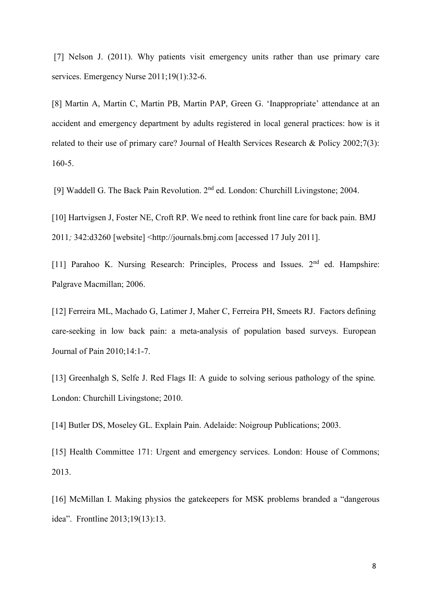[7] Nelson J. (2011). Why patients visit emergency units rather than use primary care services. Emergency Nurse 2011:19(1):32-6.

[8] Martin A, Martin C, Martin PB, Martin PAP, Green G. 'Inappropriate' attendance at an accident and emergency department by adults registered in local general practices: how is it related to their use of primary care? Journal of Health Services Research & Policy 2002;7(3): 160-5.

[9] Waddell G. The Back Pain Revolution. 2nd ed. London: Churchill Livingstone; 2004.

[10] Hartvigsen J, Foster NE, Croft RP. We need to rethink front line care for back pain. BMJ 2011*;* 342:d3260 [website] <http://journals.bmj.com [accessed 17 July 2011].

[11] Parahoo K. Nursing Research: Principles, Process and Issues. 2<sup>nd</sup> ed. Hampshire: Palgrave Macmillan; 2006.

[12] Ferreira ML, Machado G, Latimer J, Maher C, Ferreira PH, Smeets RJ. Factors defining care-seeking in low back pain: a meta-analysis of population based surveys. European Journal of Pain 2010;14:1-7.

[13] Greenhalgh S, Selfe J. Red Flags II: A guide to solving serious pathology of the spine*.* London: Churchill Livingstone; 2010.

[14] Butler DS, Moseley GL. Explain Pain. Adelaide: Noigroup Publications; 2003.

[15] Health Committee 171: Urgent and emergency services. London: House of Commons; 2013.

[16] McMillan I. Making physios the gatekeepers for MSK problems branded a "dangerous idea". Frontline 2013;19(13):13.